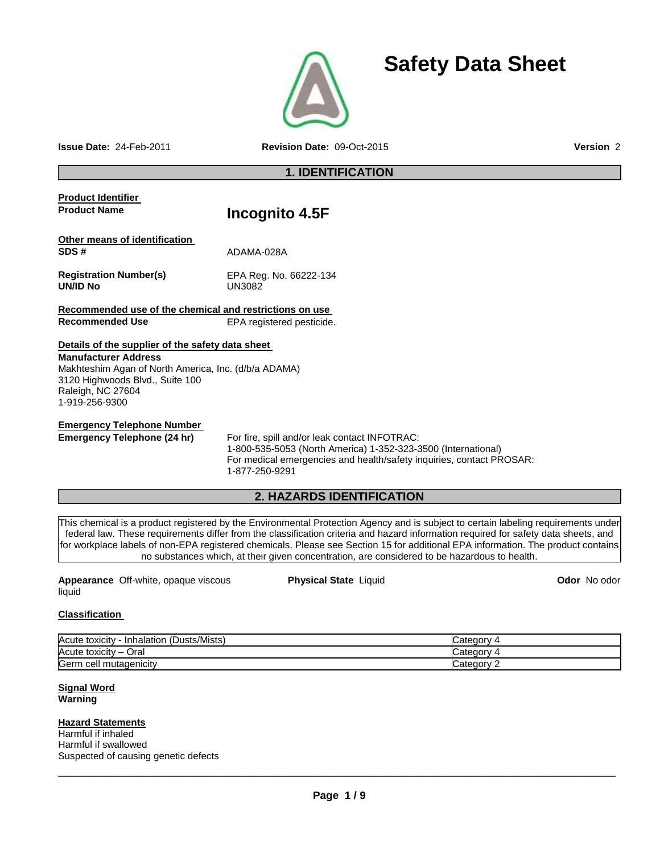

# **Safety Data Sheet**

**Issue Date:** 24-Feb-2011 **Revision Date:** 09-Oct-2015 **Version** 2

**1. IDENTIFICATION** 

| <b>Product Identifier</b>                               |                                                                                                                                                                                                          |
|---------------------------------------------------------|----------------------------------------------------------------------------------------------------------------------------------------------------------------------------------------------------------|
| <b>Product Name</b>                                     | Incognito 4.5F                                                                                                                                                                                           |
| Other means of identification                           |                                                                                                                                                                                                          |
| SDS#                                                    | ADAMA-028A                                                                                                                                                                                               |
| <b>Registration Number(s)</b><br>UN/ID No               | EPA Reg. No. 66222-134<br><b>UN3082</b>                                                                                                                                                                  |
| Recommended use of the chemical and restrictions on use |                                                                                                                                                                                                          |
| <b>Recommended Use</b>                                  | EPA registered pesticide.                                                                                                                                                                                |
| Details of the supplier of the safety data sheet        |                                                                                                                                                                                                          |
| <b>Manufacturer Address</b>                             |                                                                                                                                                                                                          |
| Makhteshim Agan of North America, Inc. (d/b/a ADAMA)    |                                                                                                                                                                                                          |
| 3120 Highwoods Blvd., Suite 100                         |                                                                                                                                                                                                          |
| Raleigh, NC 27604                                       |                                                                                                                                                                                                          |
| 1-919-256-9300                                          |                                                                                                                                                                                                          |
| <b>Emergency Telephone Number</b>                       |                                                                                                                                                                                                          |
| Emergency Telephone (24 hr)                             | For fire, spill and/or leak contact INFOTRAC:<br>1-800-535-5053 (North America) 1-352-323-3500 (International)<br>For medical emergencies and health/safety inquiries, contact PROSAR:<br>1-877-250-9291 |

# **2. HAZARDS IDENTIFICATION**

This chemical is a product registered by the Environmental Protection Agency and is subject to certain labeling requirements under federal law. These requirements differ from the classification criteria and hazard information required for safety data sheets, and for workplace labels of non-EPA registered chemicals. Please see Section 15 for additional EPA information. The product contains no substances which, at their given concentration, are considered to be hazardous to health.

| <b>Appearance</b> Off-white, opaque viscous | <b>Physical State Liquid</b> | <b>Odor</b> No odor |
|---------------------------------------------|------------------------------|---------------------|
| liquid                                      |                              |                     |

# **Classification**

| (Dusts/Mists)<br>Acute toxicity<br><b>Inhalation</b> | ategoryٽ   |
|------------------------------------------------------|------------|
| Acute toxicity<br>Oral<br>$\overline{\phantom{0}}$   | ∵ ategorvټ |
| Germ<br>ı cell mutadenicitv                          | ∵ategorvٽ  |

#### **Signal Word Warning**

**Hazard Statements** Harmful if inhaled Harmful if swallowed Suspected of causing genetic defects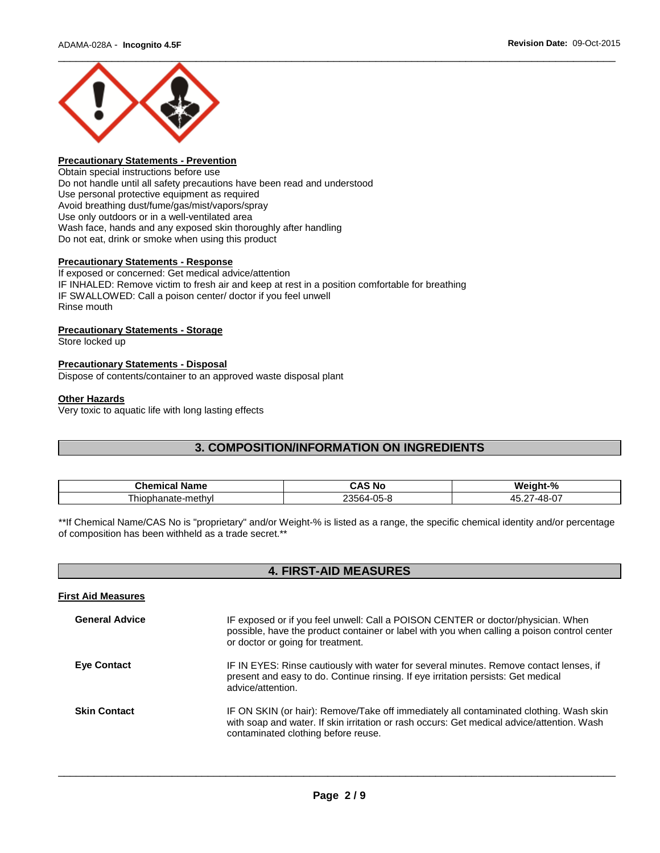

# **Precautionary Statements - Prevention**

Obtain special instructions before use Do not handle until all safety precautions have been read and understood Use personal protective equipment as required Avoid breathing dust/fume/gas/mist/vapors/spray Use only outdoors or in a well-ventilated area Wash face, hands and any exposed skin thoroughly after handling Do not eat, drink or smoke when using this product

## **Precautionary Statements - Response**

If exposed or concerned: Get medical advice/attention IF INHALED: Remove victim to fresh air and keep at rest in a position comfortable for breathing IF SWALLOWED: Call a poison center/ doctor if you feel unwell Rinse mouth

#### **Precautionary Statements - Storage**

Store locked up

#### **Precautionary Statements - Disposal**

Dispose of contents/container to an approved waste disposal plant

#### **Other Hazards**

Very toxic to aquatic life with long lasting effects

# **3. COMPOSITION/INFORMATION ON INGREDIENTS**

| Chemical<br>Name  | . .<br>CAS<br>.No        | W.<br>- 04<br>7Ω.                                                                  |
|-------------------|--------------------------|------------------------------------------------------------------------------------|
| hiophanate-methyl | -05-8<br>ີ 3564-ປ<br>. . | $\sim$ $\sim$ $\sim$<br>$ -$<br>,,,,<br>$^{\prime\prime}$<br>πл.<br>$\cdot$<br>. . |

\*\*If Chemical Name/CAS No is "proprietary" and/or Weight-% is listed as a range, the specific chemical identity and/or percentage of composition has been withheld as a trade secret.\*\*

# **4. FIRST-AID MEASURES**

| IF exposed or if you feel unwell: Call a POISON CENTER or doctor/physician. When<br>possible, have the product container or label with you when calling a poison control center<br>or doctor or going for treatment.        |
|-----------------------------------------------------------------------------------------------------------------------------------------------------------------------------------------------------------------------------|
| IF IN EYES: Rinse cautiously with water for several minutes. Remove contact lenses, if<br>present and easy to do. Continue rinsing. If eye irritation persists: Get medical<br>advice/attention.                            |
| IF ON SKIN (or hair): Remove/Take off immediately all contaminated clothing. Wash skin<br>with soap and water. If skin irritation or rash occurs: Get medical advice/attention. Wash<br>contaminated clothing before reuse. |
|                                                                                                                                                                                                                             |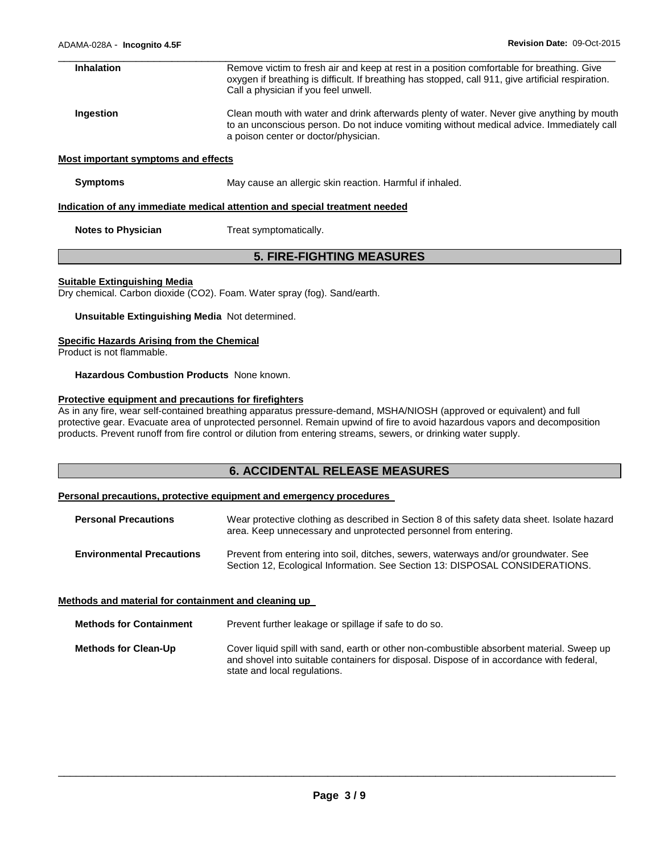| <b>Inhalation</b>                   | Remove victim to fresh air and keep at rest in a position comfortable for breathing. Give<br>oxygen if breathing is difficult. If breathing has stopped, call 911, give artificial respiration.<br>Call a physician if you feel unwell. |
|-------------------------------------|-----------------------------------------------------------------------------------------------------------------------------------------------------------------------------------------------------------------------------------------|
| Ingestion                           | Clean mouth with water and drink afterwards plenty of water. Never give anything by mouth<br>to an unconscious person. Do not induce vomiting without medical advice. Immediately call<br>a poison center or doctor/physician.          |
| Most important symptoms and effects |                                                                                                                                                                                                                                         |
| <b>Symptoms</b>                     | May cause an allergic skin reaction. Harmful if inhaled.                                                                                                                                                                                |
|                                     | Indication of any immediate medical attention and special treatment needed                                                                                                                                                              |
| <b>Notes to Physician</b>           | Treat symptomatically.                                                                                                                                                                                                                  |

# **5. FIRE-FIGHTING MEASURES**

#### **Suitable Extinguishing Media**

Dry chemical. Carbon dioxide (CO2). Foam. Water spray (fog). Sand/earth.

**Unsuitable Extinguishing Media** Not determined.

#### **Specific Hazards Arising from the Chemical**

Product is not flammable.

#### **Hazardous Combustion Products** None known.

## **Protective equipment and precautions for firefighters**

As in any fire, wear self-contained breathing apparatus pressure-demand, MSHA/NIOSH (approved or equivalent) and full protective gear. Evacuate area of unprotected personnel. Remain upwind of fire to avoid hazardous vapors and decomposition products. Prevent runoff from fire control or dilution from entering streams, sewers, or drinking water supply.

# **6. ACCIDENTAL RELEASE MEASURES**

#### **Personal precautions, protective equipment and emergency procedures**

| <b>Personal Precautions</b>      | Wear protective clothing as described in Section 8 of this safety data sheet. Isolate hazard<br>area. Keep unnecessary and unprotected personnel from entering.     |
|----------------------------------|---------------------------------------------------------------------------------------------------------------------------------------------------------------------|
| <b>Environmental Precautions</b> | Prevent from entering into soil, ditches, sewers, waterways and/or groundwater. See<br>Section 12, Ecological Information. See Section 13: DISPOSAL CONSIDERATIONS. |

#### **Methods and material for containment and cleaning up**

| <b>Methods for Containment</b> | Prevent further leakage or spillage if safe to do so.                                                                                                                                                                 |
|--------------------------------|-----------------------------------------------------------------------------------------------------------------------------------------------------------------------------------------------------------------------|
| <b>Methods for Clean-Up</b>    | Cover liquid spill with sand, earth or other non-combustible absorbent material. Sweep up<br>and shovel into suitable containers for disposal. Dispose of in accordance with federal,<br>state and local regulations. |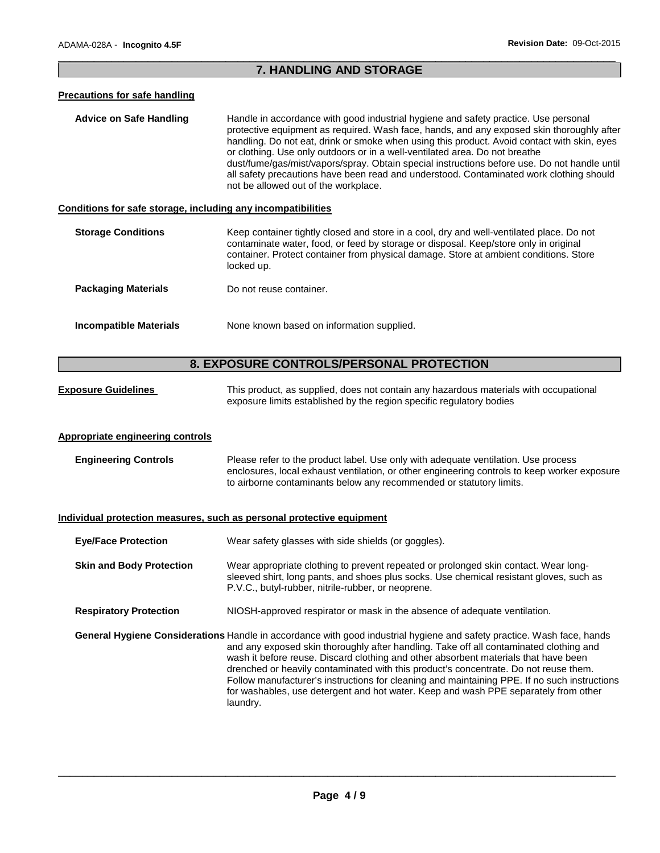## \_\_\_\_\_\_\_\_\_\_\_\_\_\_\_\_\_\_\_\_\_\_\_\_\_\_\_\_\_\_\_\_\_\_\_\_\_\_\_\_\_\_\_\_\_\_\_\_\_\_\_\_\_\_\_\_\_\_\_\_\_\_\_\_\_\_\_\_\_\_\_\_\_\_\_\_\_\_\_\_\_\_\_\_\_\_\_\_\_\_\_\_\_ **7. HANDLING AND STORAGE**

#### **Precautions for safe handling**

**Advice on Safe Handling** Handle in accordance with good industrial hygiene and safety practice. Use personal protective equipment as required. Wash face, hands, and any exposed skin thoroughly after handling. Do not eat, drink or smoke when using this product. Avoid contact with skin, eyes or clothing. Use only outdoors or in a well-ventilated area. Do not breathe dust/fume/gas/mist/vapors/spray. Obtain special instructions before use. Do not handle until all safety precautions have been read and understood. Contaminated work clothing should not be allowed out of the workplace.

#### **Conditions for safe storage, including any incompatibilities**

| <b>Storage Conditions</b>  | Keep container tightly closed and store in a cool, dry and well-ventilated place. Do not<br>contaminate water, food, or feed by storage or disposal. Keep/store only in original<br>container. Protect container from physical damage. Store at ambient conditions. Store<br>locked up. |
|----------------------------|-----------------------------------------------------------------------------------------------------------------------------------------------------------------------------------------------------------------------------------------------------------------------------------------|
| <b>Packaging Materials</b> | Do not reuse container.                                                                                                                                                                                                                                                                 |
| Incompatible Materials     | None known based on information supplied.                                                                                                                                                                                                                                               |

# **8. EXPOSURE CONTROLS/PERSONAL PROTECTION**

| <b>Exposure Guidelines</b> | This product, as supplied, does not contain any hazardous materials with occupational<br>exposure limits established by the region specific regulatory bodies |  |  |
|----------------------------|---------------------------------------------------------------------------------------------------------------------------------------------------------------|--|--|
|                            |                                                                                                                                                               |  |  |

#### **Appropriate engineering controls**

**Engineering Controls** Please refer to the product label. Use only with adequate ventilation. Use process enclosures, local exhaust ventilation, or other engineering controls to keep worker exposure to airborne contaminants below any recommended or statutory limits.

#### **Individual protection measures, such as personal protective equipment**

| <b>Eye/Face Protection</b>      | Wear safety glasses with side shields (or goggles).                                                                                                                                                                                                                                                                                                                                                                                                                                                                                                                                                |  |
|---------------------------------|----------------------------------------------------------------------------------------------------------------------------------------------------------------------------------------------------------------------------------------------------------------------------------------------------------------------------------------------------------------------------------------------------------------------------------------------------------------------------------------------------------------------------------------------------------------------------------------------------|--|
| <b>Skin and Body Protection</b> | Wear appropriate clothing to prevent repeated or prolonged skin contact. Wear long-<br>sleeved shirt, long pants, and shoes plus socks. Use chemical resistant gloves, such as<br>P.V.C., butyl-rubber, nitrile-rubber, or neoprene.                                                                                                                                                                                                                                                                                                                                                               |  |
| <b>Respiratory Protection</b>   | NIOSH-approved respirator or mask in the absence of adequate ventilation.                                                                                                                                                                                                                                                                                                                                                                                                                                                                                                                          |  |
|                                 | General Hygiene Considerations Handle in accordance with good industrial hygiene and safety practice. Wash face, hands<br>and any exposed skin thoroughly after handling. Take off all contaminated clothing and<br>wash it before reuse. Discard clothing and other absorbent materials that have been<br>drenched or heavily contaminated with this product's concentrate. Do not reuse them.<br>Follow manufacturer's instructions for cleaning and maintaining PPE. If no such instructions<br>for washables, use detergent and hot water. Keep and wash PPE separately from other<br>laundry. |  |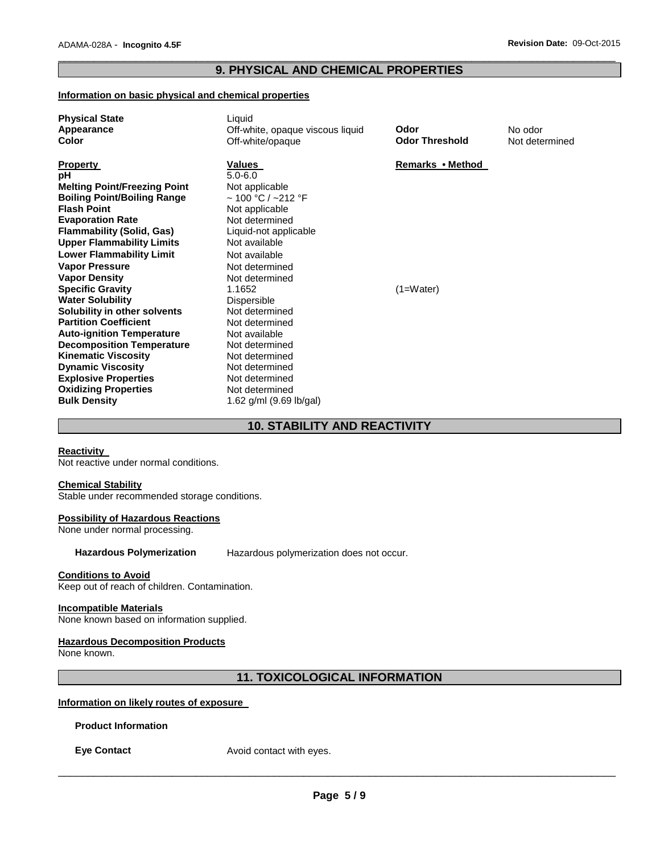## \_\_\_\_\_\_\_\_\_\_\_\_\_\_\_\_\_\_\_\_\_\_\_\_\_\_\_\_\_\_\_\_\_\_\_\_\_\_\_\_\_\_\_\_\_\_\_\_\_\_\_\_\_\_\_\_\_\_\_\_\_\_\_\_\_\_\_\_\_\_\_\_\_\_\_\_\_\_\_\_\_\_\_\_\_\_\_\_\_\_\_\_\_ **9. PHYSICAL AND CHEMICAL PROPERTIES**

## **Information on basic physical and chemical properties**

| <b>Physical State</b><br>Appearance<br>Color                                                                                                                                                                                                                                                                                                                                                                                                                                                                                                                                                                                          | Liquid<br>Off-white, opaque viscous liquid<br>Off-white/opaque                                                                                                                                                                                                                                                                                                                | Odor<br><b>Odor Threshold</b>   | No odor<br>Not determined |
|---------------------------------------------------------------------------------------------------------------------------------------------------------------------------------------------------------------------------------------------------------------------------------------------------------------------------------------------------------------------------------------------------------------------------------------------------------------------------------------------------------------------------------------------------------------------------------------------------------------------------------------|-------------------------------------------------------------------------------------------------------------------------------------------------------------------------------------------------------------------------------------------------------------------------------------------------------------------------------------------------------------------------------|---------------------------------|---------------------------|
| <b>Property</b><br>рH<br><b>Melting Point/Freezing Point</b><br><b>Boiling Point/Boiling Range</b><br><b>Flash Point</b><br><b>Evaporation Rate</b><br><b>Flammability (Solid, Gas)</b><br><b>Upper Flammability Limits</b><br><b>Lower Flammability Limit</b><br><b>Vapor Pressure</b><br><b>Vapor Density</b><br><b>Specific Gravity</b><br><b>Water Solubility</b><br>Solubility in other solvents<br><b>Partition Coefficient</b><br><b>Auto-ignition Temperature</b><br><b>Decomposition Temperature</b><br><b>Kinematic Viscosity</b><br><b>Dynamic Viscosity</b><br><b>Explosive Properties</b><br><b>Oxidizing Properties</b> | Values<br>$5.0 - 6.0$<br>Not applicable<br>$\sim$ 100 °C / ~212 °F<br>Not applicable<br>Not determined<br>Liquid-not applicable<br>Not available<br>Not available<br>Not determined<br>Not determined<br>1.1652<br>Dispersible<br>Not determined<br>Not determined<br>Not available<br>Not determined<br>Not determined<br>Not determined<br>Not determined<br>Not determined | Remarks • Method<br>$(1=Water)$ |                           |
| <b>Bulk Density</b>                                                                                                                                                                                                                                                                                                                                                                                                                                                                                                                                                                                                                   | 1.62 $g/ml$ (9.69 lb/gal)                                                                                                                                                                                                                                                                                                                                                     |                                 |                           |

# **10. STABILITY AND REACTIVITY**

## **Reactivity**

Not reactive under normal conditions.

#### **Chemical Stability**

Stable under recommended storage conditions.

#### **Possibility of Hazardous Reactions**

None under normal processing.

**Hazardous Polymerization** Hazardous polymerization does not occur.

## **Conditions to Avoid**

Keep out of reach of children. Contamination.

#### **Incompatible Materials**

None known based on information supplied.

#### **Hazardous Decomposition Products**

None known.

# **11. TOXICOLOGICAL INFORMATION**

## **Information on likely routes of exposure**

**Product Information** 

**Eye Contact Avoid contact with eyes.**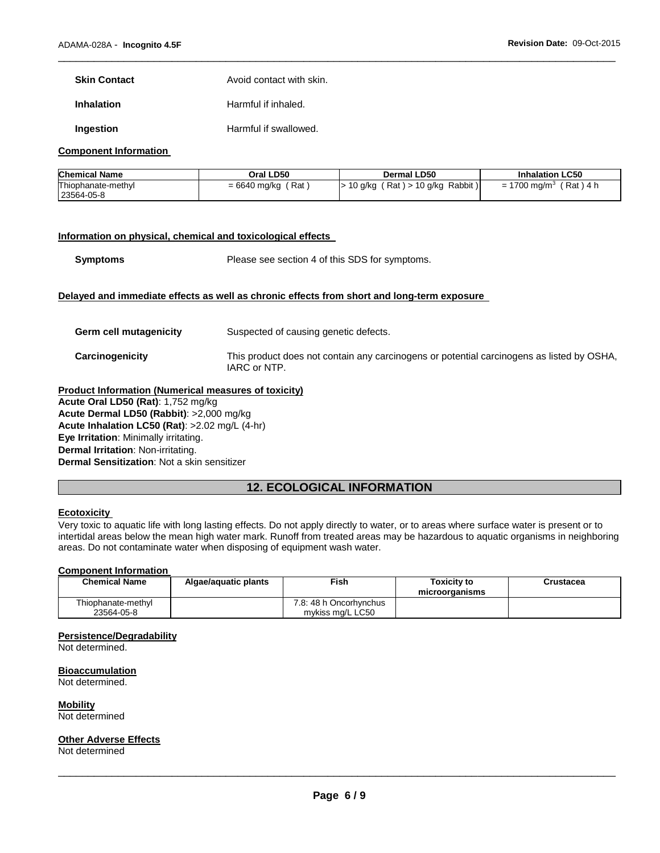**Skin Contact Avoid contact with skin.** 

**Inhalation Harmful if inhaled.** 

**Ingestion Harmful if swallowed.** 

#### **Component Information**

| <b>Chemical Name</b> | Oral LD50      | Dermal LD50               | <b>Inhalation LC50</b>     |
|----------------------|----------------|---------------------------|----------------------------|
| Thiophanate-methyl   | Rat            | $(Rat) > 10$ g/kg Rabbit) | $= 1700$ mg/m <sup>3</sup> |
| 23564-05-8           | $= 6640$ mg/kg | 10 a/ka                   | $'$ Rat $)$ 4 $\mu$        |

\_\_\_\_\_\_\_\_\_\_\_\_\_\_\_\_\_\_\_\_\_\_\_\_\_\_\_\_\_\_\_\_\_\_\_\_\_\_\_\_\_\_\_\_\_\_\_\_\_\_\_\_\_\_\_\_\_\_\_\_\_\_\_\_\_\_\_\_\_\_\_\_\_\_\_\_\_\_\_\_\_\_\_\_\_\_\_\_\_\_\_\_\_

## **Information on physical, chemical and toxicological effects**

**Symptoms** Please see section 4 of this SDS for symptoms.

## **Delayed and immediate effects as well as chronic effects from short and long-term exposure**

| Germ cell mutagenicity | Suspected of causing genetic defects.                                                                     |
|------------------------|-----------------------------------------------------------------------------------------------------------|
| Carcinogenicity        | This product does not contain any carcinogens or potential carcinogens as listed by OSHA,<br>IARC or NTP. |

**Product Information (Numerical measures of toxicity) Acute Oral LD50 (Rat)**: 1,752 mg/kg **Acute Dermal LD50 (Rabbit)**: >2,000 mg/kg **Acute Inhalation LC50 (Rat)**: >2.02 mg/L (4-hr) **Eye Irritation**: Minimally irritating. **Dermal Irritation**: Non-irritating. **Dermal Sensitization**: Not a skin sensitizer

# **12. ECOLOGICAL INFORMATION**

# **Ecotoxicity**

Very toxic to aquatic life with long lasting effects. Do not apply directly to water, or to areas where surface water is present or to intertidal areas below the mean high water mark. Runoff from treated areas may be hazardous to aquatic organisms in neighboring areas. Do not contaminate water when disposing of equipment wash water.

#### **Component Information**

| <b>Chemical Name</b>             | Algae/aguatic plants | ™ish                                       | Toxicitv to<br>microorganisms | Crustacea |
|----------------------------------|----------------------|--------------------------------------------|-------------------------------|-----------|
| Thiophanate-methyl<br>23564-05-8 |                      | 7.8: 48 h Oncorhynchus<br>mykiss mg/L LC50 |                               |           |

#### **Persistence/Degradability**

Not determined.

**Bioaccumulation**

Not determined.

**Mobility** Not determined

#### **Other Adverse Effects**

Not determined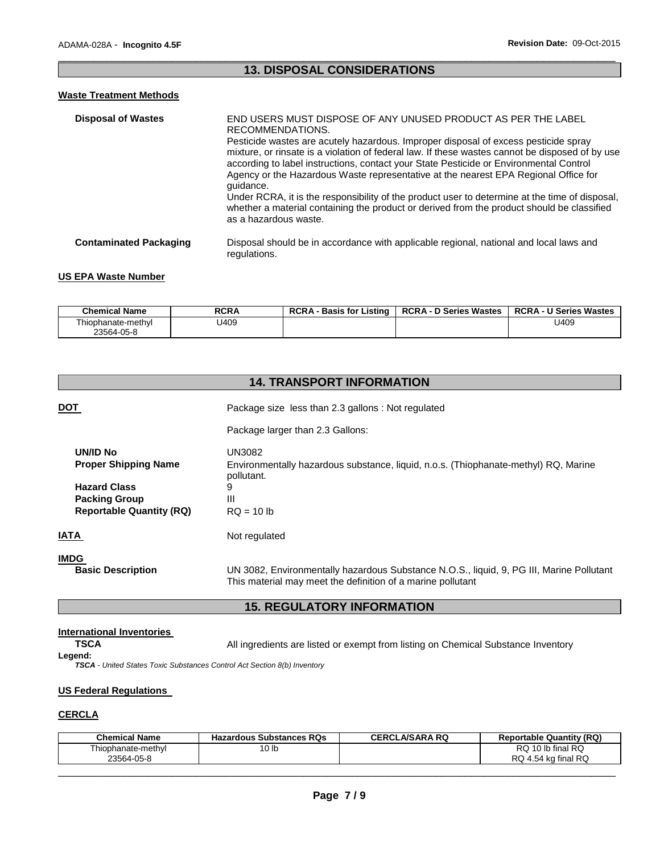# \_\_\_\_\_\_\_\_\_\_\_\_\_\_\_\_\_\_\_\_\_\_\_\_\_\_\_\_\_\_\_\_\_\_\_\_\_\_\_\_\_\_\_\_\_\_\_\_\_\_\_\_\_\_\_\_\_\_\_\_\_\_\_\_\_\_\_\_\_\_\_\_\_\_\_\_\_\_\_\_\_\_\_\_\_\_\_\_\_\_\_\_\_ **13. DISPOSAL CONSIDERATIONS**

# **Waste Treatment Methods**

| <b>Disposal of Wastes</b>     | END USERS MUST DISPOSE OF ANY UNUSED PRODUCT AS PER THE LABEL<br>RECOMMENDATIONS.<br>Pesticide wastes are acutely hazardous. Improper disposal of excess pesticide spray<br>mixture, or rinsate is a violation of federal law. If these wastes cannot be disposed of by use<br>according to label instructions, contact your State Pesticide or Environmental Control<br>Agency or the Hazardous Waste representative at the nearest EPA Regional Office for<br>quidance.<br>Under RCRA, it is the responsibility of the product user to determine at the time of disposal,<br>whether a material containing the product or derived from the product should be classified<br>as a hazardous waste. |
|-------------------------------|----------------------------------------------------------------------------------------------------------------------------------------------------------------------------------------------------------------------------------------------------------------------------------------------------------------------------------------------------------------------------------------------------------------------------------------------------------------------------------------------------------------------------------------------------------------------------------------------------------------------------------------------------------------------------------------------------|
| <b>Contaminated Packaging</b> | Disposal should be in accordance with applicable regional, national and local laws and<br>regulations.                                                                                                                                                                                                                                                                                                                                                                                                                                                                                                                                                                                             |

## **US EPA Waste Number**

| <b>Chemical Name</b> | <b>RCRA</b> | <b>RCRA - Basis for Listing</b> | <b>RCRA - D Series Wastes</b> | <b>RCRA - U Series Wastes</b> |
|----------------------|-------------|---------------------------------|-------------------------------|-------------------------------|
| i hiophanate-methvl  | J409        |                                 |                               | U409                          |
| 23564-05-8           |             |                                 |                               |                               |

|                                  | <b>14. TRANSPORT INFORMATION</b>                                                                                                                        |  |  |
|----------------------------------|---------------------------------------------------------------------------------------------------------------------------------------------------------|--|--|
| <b>DOT</b>                       | Package size less than 2.3 gallons : Not regulated                                                                                                      |  |  |
|                                  | Package larger than 2.3 Gallons:                                                                                                                        |  |  |
| <b>UN/ID No</b>                  | UN3082                                                                                                                                                  |  |  |
| <b>Proper Shipping Name</b>      | Environmentally hazardous substance, liquid, n.o.s. (Thiophanate-methyl) RQ, Marine<br>pollutant.                                                       |  |  |
| <b>Hazard Class</b>              | 9                                                                                                                                                       |  |  |
| <b>Packing Group</b>             | Ш                                                                                                                                                       |  |  |
| <b>Reportable Quantity (RQ)</b>  | $RO = 10 lb$                                                                                                                                            |  |  |
| <b>IATA</b>                      | Not regulated                                                                                                                                           |  |  |
| IMDG<br><b>Basic Description</b> | UN 3082, Environmentally hazardous Substance N.O.S., liquid, 9, PG III, Marine Pollutant<br>This material may meet the definition of a marine pollutant |  |  |

# **15. REGULATORY INFORMATION**

## **International Inventories**

**Legend:** 

**TSCA** All ingredients are listed or exempt from listing on Chemical Substance Inventory

*TSCA - United States Toxic Substances Control Act Section 8(b) Inventory* 

#### **US Federal Regulations**

# **CERCLA**

| <b>Chemical Name</b>             | <b>Hazardous Substances RQs</b> | <b>CERCLA/SARA RQ</b> | <b>Reportable Quantity (RQ)</b>          |
|----------------------------------|---------------------------------|-----------------------|------------------------------------------|
| Thiophanate-methyl<br>23564-05-8 | 10 lb                           |                       | RQ 10 lb final RQ<br>RQ 4.54 kg final RQ |
|                                  |                                 |                       |                                          |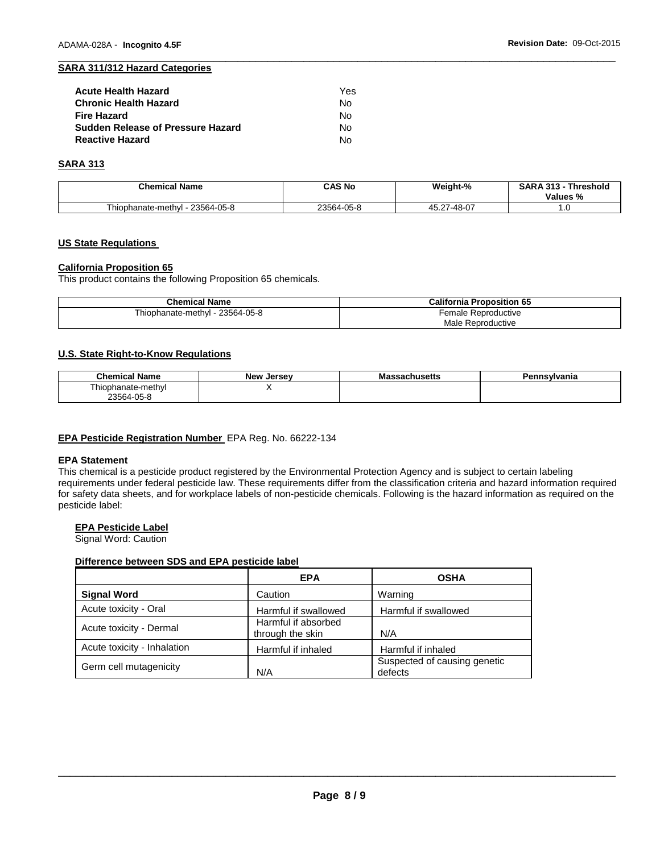#### \_\_\_\_\_\_\_\_\_\_\_\_\_\_\_\_\_\_\_\_\_\_\_\_\_\_\_\_\_\_\_\_\_\_\_\_\_\_\_\_\_\_\_\_\_\_\_\_\_\_\_\_\_\_\_\_\_\_\_\_\_\_\_\_\_\_\_\_\_\_\_\_\_\_\_\_\_\_\_\_\_\_\_\_\_\_\_\_\_\_\_\_\_ **SARA 311/312 Hazard Categories**

| <b>Acute Health Hazard</b>        | Yes |
|-----------------------------------|-----|
| <b>Chronic Health Hazard</b>      | N٥  |
| <b>Fire Hazard</b>                | N٥  |
| Sudden Release of Pressure Hazard | No. |
| <b>Reactive Hazard</b>            | N٥  |

#### **SARA 313**

| <b>Chemical Name</b>             | CAS No     | Weight-%    | <b>SARA 313 -</b><br>Threshold<br>Values % |
|----------------------------------|------------|-------------|--------------------------------------------|
| Thiophanate-methyl<br>23564-05-8 | 23564-05-8 | 45.27-48-07 | $\cdot\cdot\cdot$                          |

# **US State Regulations**

## **California Proposition 65**

This product contains the following Proposition 65 chemicals.

| <b>Chemical Name</b>                 | <b>California Proposition 65</b> |
|--------------------------------------|----------------------------------|
| 23564-05-8<br>. - Thiophanate-methyl | Female Reproductive              |
|                                      | Male Reproductive                |

#### **U.S. State Right-to-Know Regulations**

| Chemical N<br>Name   | <b>New</b><br>. Jersev | asachusetts۔۔۔۔<br>wа | Pennsvlvania |
|----------------------|------------------------|-----------------------|--------------|
| ∙meth∨∟<br>hanate-r. |                        |                       |              |
| 23564-05-8           |                        |                       |              |

# **EPA Pesticide Registration Number** EPA Reg. No. 66222-134

#### **EPA Statement**

This chemical is a pesticide product registered by the Environmental Protection Agency and is subject to certain labeling requirements under federal pesticide law. These requirements differ from the classification criteria and hazard information required for safety data sheets, and for workplace labels of non-pesticide chemicals. Following is the hazard information as required on the pesticide label:

## **EPA Pesticide Label**

Signal Word: Caution

#### **Difference between SDS and EPA pesticide label**

|                             | <b>EPA</b>                              | <b>OSHA</b>                             |
|-----------------------------|-----------------------------------------|-----------------------------------------|
| <b>Signal Word</b>          | Caution                                 | Warning                                 |
| Acute toxicity - Oral       | Harmful if swallowed                    | Harmful if swallowed                    |
| Acute toxicity - Dermal     | Harmful if absorbed<br>through the skin | N/A                                     |
| Acute toxicity - Inhalation | Harmful if inhaled                      | Harmful if inhaled                      |
| Germ cell mutagenicity      | N/A                                     | Suspected of causing genetic<br>defects |